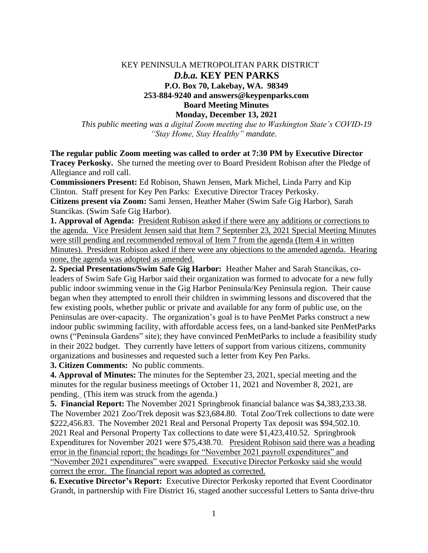## KEY PENINSULA METROPOLITAN PARK DISTRICT *D.b.a.* **KEY PEN PARKS P.O. Box 70, Lakebay, WA. 98349 253-884-9240 and answers@keypenparks.com Board Meeting Minutes Monday, December 13, 2021**

*This public meeting was a digital Zoom meeting due to Washington State's COVID-19 "Stay Home, Stay Healthy" mandate.*

**The regular public Zoom meeting was called to order at 7:30 PM by Executive Director Tracey Perkosky.** She turned the meeting over to Board President Robison after the Pledge of Allegiance and roll call.

**Commissioners Present:** Ed Robison, Shawn Jensen, Mark Michel, Linda Parry and Kip Clinton. Staff present for Key Pen Parks: Executive Director Tracey Perkosky. **Citizens present via Zoom:** Sami Jensen, Heather Maher (Swim Safe Gig Harbor), Sarah Stancikas. (Swim Safe Gig Harbor).

**1. Approval of Agenda:** President Robison asked if there were any additions or corrections to the agenda. Vice President Jensen said that Item 7 September 23, 2021 Special Meeting Minutes were still pending and recommended removal of Item 7 from the agenda (Item 4 in written Minutes). President Robison asked if there were any objections to the amended agenda. Hearing none, the agenda was adopted as amended.

**2. Special Presentations/Swim Safe Gig Harbor:** Heather Maher and Sarah Stancikas, coleaders of Swim Safe Gig Harbor said their organization was formed to advocate for a new fully public indoor swimming venue in the Gig Harbor Peninsula/Key Peninsula region. Their cause began when they attempted to enroll their children in swimming lessons and discovered that the few existing pools, whether public or private and available for any form of public use, on the Peninsulas are over-capacity. The organization's goal is to have PenMet Parks construct a new indoor public swimming facility, with affordable access fees, on a land-banked site PenMetParks owns ("Peninsula Gardens" site); they have convinced PenMetParks to include a feasibility study in their 2022 budget. They currently have letters of support from various citizens, community organizations and businesses and requested such a letter from Key Pen Parks.

**3. Citizen Comments:** No public comments.

**4. Approval of Minutes:** The minutes for the September 23, 2021, special meeting and the minutes for the regular business meetings of October 11, 2021 and November 8, 2021, are pending. (This item was struck from the agenda.)

**5. Financial Report:** The November 2021 Springbrook financial balance was \$4,383,233.38. The November 2021 Zoo/Trek deposit was \$23,684.80. Total Zoo/Trek collections to date were \$222,456.83. The November 2021 Real and Personal Property Tax deposit was \$94,502.10. 2021 Real and Personal Property Tax collections to date were \$1,423,410.52. Springbrook Expenditures for November 2021 were \$75,438.70. President Robison said there was a heading error in the financial report; the headings for "November 2021 payroll expenditures" and "November 2021 expenditures" were swapped. Executive Director Perkosky said she would correct the error. The financial report was adopted as corrected.

**6. Executive Director's Report:** Executive Director Perkosky reported that Event Coordinator Grandt, in partnership with Fire District 16, staged another successful Letters to Santa drive-thru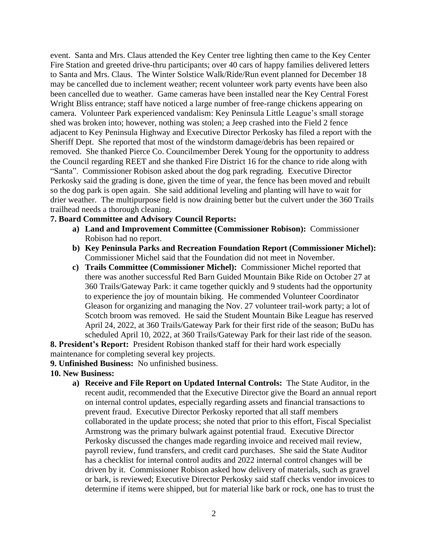event. Santa and Mrs. Claus attended the Key Center tree lighting then came to the Key Center Fire Station and greeted drive-thru participants; over 40 cars of happy families delivered letters to Santa and Mrs. Claus. The Winter Solstice Walk/Ride/Run event planned for December 18 may be cancelled due to inclement weather; recent volunteer work party events have been also been cancelled due to weather. Game cameras have been installed near the Key Central Forest Wright Bliss entrance; staff have noticed a large number of free-range chickens appearing on camera. Volunteer Park experienced vandalism: Key Peninsula Little League's small storage shed was broken into; however, nothing was stolen; a Jeep crashed into the Field 2 fence adjacent to Key Peninsula Highway and Executive Director Perkosky has filed a report with the Sheriff Dept. She reported that most of the windstorm damage/debris has been repaired or removed. She thanked Pierce Co. Councilmember Derek Young for the opportunity to address the Council regarding REET and she thanked Fire District 16 for the chance to ride along with "Santa". Commissioner Robison asked about the dog park regrading. Executive Director Perkosky said the grading is done, given the time of year, the fence has been moved and rebuilt so the dog park is open again. She said additional leveling and planting will have to wait for drier weather. The multipurpose field is now draining better but the culvert under the 360 Trails trailhead needs a thorough cleaning.

## **7. Board Committee and Advisory Council Reports:**

- **a) Land and Improvement Committee (Commissioner Robison):** Commissioner Robison had no report.
- **b) Key Peninsula Parks and Recreation Foundation Report (Commissioner Michel):** Commissioner Michel said that the Foundation did not meet in November.
- **c) Trails Committee (Commissioner Michel):** Commissioner Michel reported that there was another successful Red Barn Guided Mountain Bike Ride on October 27 at 360 Trails/Gateway Park: it came together quickly and 9 students had the opportunity to experience the joy of mountain biking. He commended Volunteer Coordinator Gleason for organizing and managing the Nov. 27 volunteer trail-work party; a lot of Scotch broom was removed. He said the Student Mountain Bike League has reserved April 24, 2022, at 360 Trails/Gateway Park for their first ride of the season; BuDu has scheduled April 10, 2022, at 360 Trails/Gateway Park for their last ride of the season.

**8. President's Report:** President Robison thanked staff for their hard work especially maintenance for completing several key projects.

## **9. Unfinished Business:** No unfinished business.

- **10. New Business:**
	- **a) Receive and File Report on Updated Internal Controls:** The State Auditor, in the recent audit, recommended that the Executive Director give the Board an annual report on internal control updates, especially regarding assets and financial transactions to prevent fraud. Executive Director Perkosky reported that all staff members collaborated in the update process; she noted that prior to this effort, Fiscal Specialist Armstrong was the primary bulwark against potential fraud. Executive Director Perkosky discussed the changes made regarding invoice and received mail review, payroll review, fund transfers, and credit card purchases. She said the State Auditor has a checklist for internal control audits and 2022 internal control changes will be driven by it. Commissioner Robison asked how delivery of materials, such as gravel or bark, is reviewed; Executive Director Perkosky said staff checks vendor invoices to determine if items were shipped, but for material like bark or rock, one has to trust the